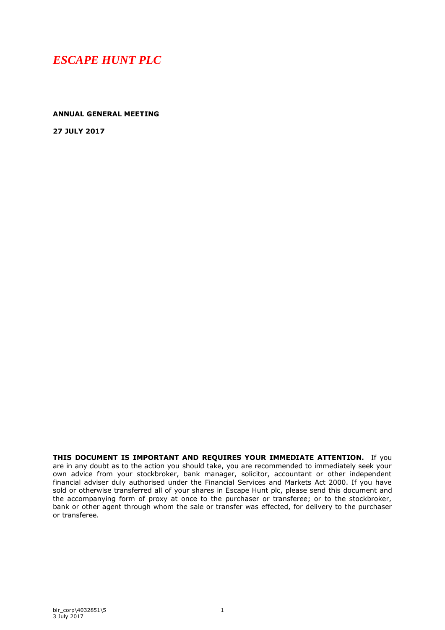# *ESCAPE HUNT PLC*

**ANNUAL GENERAL MEETING**

**27 JULY 2017**

**THIS DOCUMENT IS IMPORTANT AND REQUIRES YOUR IMMEDIATE ATTENTION.** If you are in any doubt as to the action you should take, you are recommended to immediately seek your own advice from your stockbroker, bank manager, solicitor, accountant or other independent financial adviser duly authorised under the Financial Services and Markets Act 2000. If you have sold or otherwise transferred all of your shares in Escape Hunt plc, please send this document and the accompanying form of proxy at once to the purchaser or transferee; or to the stockbroker, bank or other agent through whom the sale or transfer was effected, for delivery to the purchaser or transferee.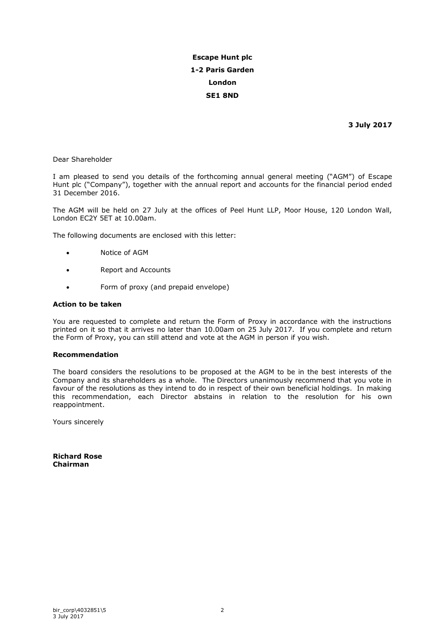## **Escape Hunt plc 1-2 Paris Garden London SE1 8ND**

**3 July 2017**

Dear Shareholder

I am pleased to send you details of the forthcoming annual general meeting ("AGM") of Escape Hunt plc ("Company"), together with the annual report and accounts for the financial period ended 31 December 2016.

The AGM will be held on 27 July at the offices of Peel Hunt LLP, Moor House, 120 London Wall, London EC2Y 5ET at 10.00am.

The following documents are enclosed with this letter:

- Notice of AGM
- Report and Accounts
- Form of proxy (and prepaid envelope)

## **Action to be taken**

You are requested to complete and return the Form of Proxy in accordance with the instructions printed on it so that it arrives no later than 10.00am on 25 July 2017. If you complete and return the Form of Proxy, you can still attend and vote at the AGM in person if you wish.

## **Recommendation**

The board considers the resolutions to be proposed at the AGM to be in the best interests of the Company and its shareholders as a whole. The Directors unanimously recommend that you vote in favour of the resolutions as they intend to do in respect of their own beneficial holdings. In making this recommendation, each Director abstains in relation to the resolution for his own reappointment.

Yours sincerely

**Richard Rose Chairman**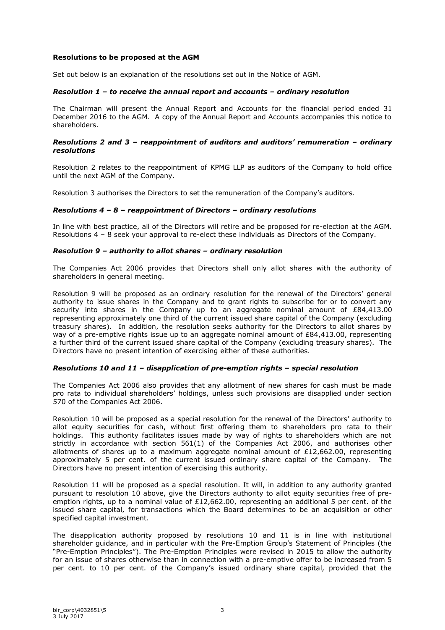## **Resolutions to be proposed at the AGM**

Set out below is an explanation of the resolutions set out in the Notice of AGM.

## *Resolution 1 – to receive the annual report and accounts – ordinary resolution*

The Chairman will present the Annual Report and Accounts for the financial period ended 31 December 2016 to the AGM. A copy of the Annual Report and Accounts accompanies this notice to shareholders.

## *Resolutions 2 and 3 – reappointment of auditors and auditors' remuneration – ordinary resolutions*

Resolution 2 relates to the reappointment of KPMG LLP as auditors of the Company to hold office until the next AGM of the Company.

Resolution 3 authorises the Directors to set the remuneration of the Company's auditors.

## *Resolutions 4 – 8 – reappointment of Directors – ordinary resolutions*

In line with best practice, all of the Directors will retire and be proposed for re-election at the AGM. Resolutions 4 – 8 seek your approval to re-elect these individuals as Directors of the Company.

## *Resolution 9 – authority to allot shares – ordinary resolution*

The Companies Act 2006 provides that Directors shall only allot shares with the authority of shareholders in general meeting.

Resolution [9](#page-4-0) will be proposed as an ordinary resolution for the renewal of the Directors' general authority to issue shares in the Company and to grant rights to subscribe for or to convert any security into shares in the Company up to an aggregate nominal amount of £84,413.00 representing approximately one third of the current issued share capital of the Company (excluding treasury shares). In addition, the resolution seeks authority for the Directors to allot shares by way of a pre-emptive rights issue up to an aggregate nominal amount of £84,413.00, representing a further third of the current issued share capital of the Company (excluding treasury shares). The Directors have no present intention of exercising either of these authorities.

## *Resolutions 10 and 11 – disapplication of pre-emption rights – special resolution*

The Companies Act 2006 also provides that any allotment of new shares for cash must be made pro rata to individual shareholders' holdings, unless such provisions are disapplied under section 570 of the Companies Act 2006.

Resolution [10](#page-5-0) will be proposed as a special resolution for the renewal of the Directors' authority to allot equity securities for cash, without first offering them to shareholders pro rata to their holdings. This authority facilitates issues made by way of rights to shareholders which are not strictly in accordance with section 561(1) of the Companies Act 2006, and authorises other allotments of shares up to a maximum aggregate nominal amount of  $£12,662,00$ , representing approximately 5 per cent. of the current issued ordinary share capital of the Company. The Directors have no present intention of exercising this authority.

Resolution [11](#page-5-1) will be proposed as a special resolution. It will, in addition to any authority granted pursuant to resolution [10](#page-5-0) above, give the Directors authority to allot equity securities free of preemption rights, up to a nominal value of £12,662.00, representing an additional 5 per cent. of the issued share capital, for transactions which the Board determines to be an acquisition or other specified capital investment.

The disapplication authority proposed by resolutions [10](#page-5-0) and [11](#page-5-1) is in line with institutional shareholder guidance, and in particular with the Pre-Emption Group's Statement of Principles (the "Pre-Emption Principles"). The Pre-Emption Principles were revised in 2015 to allow the authority for an issue of shares otherwise than in connection with a pre-emptive offer to be increased from 5 per cent. to 10 per cent. of the Company's issued ordinary share capital, provided that the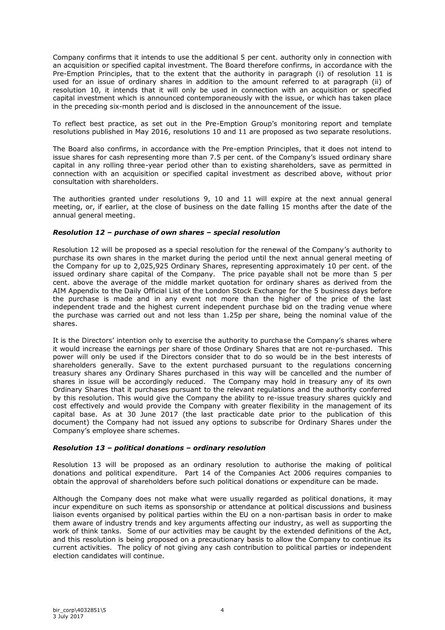Company confirms that it intends to use the additional 5 per cent. authority only in connection with an acquisition or specified capital investment. The Board therefore confirms, in accordance with the Pre-Emption Principles, that to the extent that the authority in paragraph (i) of resolution [11](#page-5-1) is used for an issue of ordinary shares in addition to the amount referred to at paragraph (ii) of resolution [10,](#page-5-0) it intends that it will only be used in connection with an acquisition or specified capital investment which is announced contemporaneously with the issue, or which has taken place in the preceding six-month period and is disclosed in the announcement of the issue.

To reflect best practice, as set out in the Pre-Emption Group's monitoring report and template resolutions published in May 2016, resolutions [10](#page-5-0) and [11](#page-5-1) are proposed as two separate resolutions.

The Board also confirms, in accordance with the Pre-emption Principles, that it does not intend to issue shares for cash representing more than 7.5 per cent. of the Company's issued ordinary share capital in any rolling three-year period other than to existing shareholders, save as permitted in connection with an acquisition or specified capital investment as described above, without prior consultation with shareholders.

The authorities granted under resolutions [9,](#page-4-0) [10](#page-5-0) and [11](#page-5-1) will expire at the next annual general meeting, or, if earlier, at the close of business on the date falling 15 months after the date of the annual general meeting.

## *Resolution 12 – purchase of own shares – special resolution*

Resolution [12](#page-5-2) will be proposed as a special resolution for the renewal of the Company's authority to purchase its own shares in the market during the period until the next annual general meeting of the Company for up to 2,025,925 Ordinary Shares, representing approximately 10 per cent. of the issued ordinary share capital of the Company. The price payable shall not be more than 5 per cent. above the average of the middle market quotation for ordinary shares as derived from the AIM Appendix to the Daily Official List of the London Stock Exchange for the 5 business days before the purchase is made and in any event not more than the higher of the price of the last independent trade and the highest current independent purchase bid on the trading venue where the purchase was carried out and not less than 1.25p per share, being the nominal value of the shares.

It is the Directors' intention only to exercise the authority to purchase the Company's shares where it would increase the earnings per share of those Ordinary Shares that are not re-purchased. This power will only be used if the Directors consider that to do so would be in the best interests of shareholders generally. Save to the extent purchased pursuant to the regulations concerning treasury shares any Ordinary Shares purchased in this way will be cancelled and the number of shares in issue will be accordingly reduced. The Company may hold in treasury any of its own Ordinary Shares that it purchases pursuant to the relevant regulations and the authority conferred by this resolution. This would give the Company the ability to re-issue treasury shares quickly and cost effectively and would provide the Company with greater flexibility in the management of its capital base. As at 30 June 2017 (the last practicable date prior to the publication of this document) the Company had not issued any options to subscribe for Ordinary Shares under the Company's employee share schemes.

## *Resolution 13 – political donations – ordinary resolution*

Resolution [13](#page-6-0) will be proposed as an ordinary resolution to authorise the making of political donations and political expenditure. Part 14 of the Companies Act 2006 requires companies to obtain the approval of shareholders before such political donations or expenditure can be made.

Although the Company does not make what were usually regarded as political donations, it may incur expenditure on such items as sponsorship or attendance at political discussions and business liaison events organised by political parties within the EU on a non-partisan basis in order to make them aware of industry trends and key arguments affecting our industry, as well as supporting the work of think tanks. Some of our activities may be caught by the extended definitions of the Act, and this resolution is being proposed on a precautionary basis to allow the Company to continue its current activities. The policy of not giving any cash contribution to political parties or independent election candidates will continue.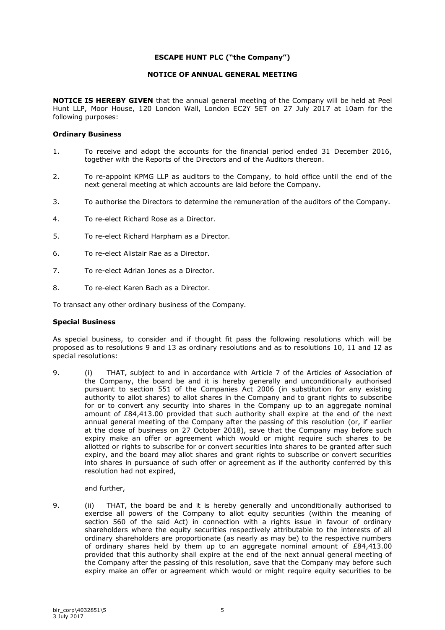## **ESCAPE HUNT PLC ("the Company")**

## **NOTICE OF ANNUAL GENERAL MEETING**

**NOTICE IS HEREBY GIVEN** that the annual general meeting of the Company will be held at Peel Hunt LLP, Moor House, 120 London Wall, London EC2Y 5ET on 27 July 2017 at 10am for the following purposes:

## **Ordinary Business**

- 1. To receive and adopt the accounts for the financial period ended 31 December 2016, together with the Reports of the Directors and of the Auditors thereon.
- 2. To re-appoint KPMG LLP as auditors to the Company, to hold office until the end of the next general meeting at which accounts are laid before the Company.
- 3. To authorise the Directors to determine the remuneration of the auditors of the Company.
- 4. To re-elect Richard Rose as a Director.
- 5. To re-elect Richard Harpham as a Director.
- 6. To re-elect Alistair Rae as a Director.
- 7. To re-elect Adrian Jones as a Director.
- 8. To re-elect Karen Bach as a Director.

To transact any other ordinary business of the Company.

## **Special Business**

As special business, to consider and if thought fit pass the following resolutions which will be proposed as to resolutions [9](#page-4-0) and [13](#page-6-0) as ordinary resolutions and as to resolutions [10,](#page-5-0) [11](#page-5-1) and [12](#page-5-2) as special resolutions:

<span id="page-4-0"></span>9. (i) THAT, subject to and in accordance with Article 7 of the Articles of Association of the Company, the board be and it is hereby generally and unconditionally authorised pursuant to section 551 of the Companies Act 2006 (in substitution for any existing authority to allot shares) to allot shares in the Company and to grant rights to subscribe for or to convert any security into shares in the Company up to an aggregate nominal amount of £84,413.00 provided that such authority shall expire at the end of the next annual general meeting of the Company after the passing of this resolution (or, if earlier at the close of business on 27 October 2018), save that the Company may before such expiry make an offer or agreement which would or might require such shares to be allotted or rights to subscribe for or convert securities into shares to be granted after such expiry, and the board may allot shares and grant rights to subscribe or convert securities into shares in pursuance of such offer or agreement as if the authority conferred by this resolution had not expired,

and further,

9. (ii) THAT, the board be and it is hereby generally and unconditionally authorised to exercise all powers of the Company to allot equity securities (within the meaning of section 560 of the said Act) in connection with a rights issue in favour of ordinary shareholders where the equity securities respectively attributable to the interests of all ordinary shareholders are proportionate (as nearly as may be) to the respective numbers of ordinary shares held by them up to an aggregate nominal amount of £84,413.00 provided that this authority shall expire at the end of the next annual general meeting of the Company after the passing of this resolution, save that the Company may before such expiry make an offer or agreement which would or might require equity securities to be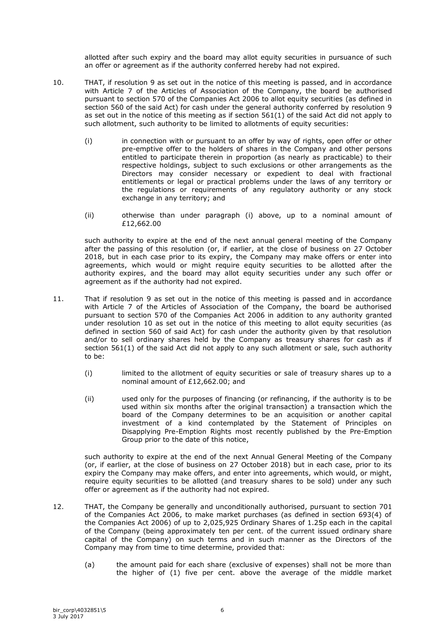allotted after such expiry and the board may allot equity securities in pursuance of such an offer or agreement as if the authority conferred hereby had not expired.

- <span id="page-5-0"></span>10. THAT, if resolution [9](#page-4-0) as set out in the notice of this meeting is passed, and in accordance with Article 7 of the Articles of Association of the Company, the board be authorised pursuant to section 570 of the Companies Act 2006 to allot equity securities (as defined in section 560 of the said Act) for cash under the general authority conferred by resolution [9](#page-4-0) as set out in the notice of this meeting as if section 561(1) of the said Act did not apply to such allotment, such authority to be limited to allotments of equity securities:
	- (i) in connection with or pursuant to an offer by way of rights, open offer or other pre-emptive offer to the holders of shares in the Company and other persons entitled to participate therein in proportion (as nearly as practicable) to their respective holdings, subject to such exclusions or other arrangements as the Directors may consider necessary or expedient to deal with fractional entitlements or legal or practical problems under the laws of any territory or the regulations or requirements of any regulatory authority or any stock exchange in any territory; and
	- (ii) otherwise than under paragraph (i) above, up to a nominal amount of £12,662.00

such authority to expire at the end of the next annual general meeting of the Company after the passing of this resolution (or, if earlier, at the close of business on 27 October 2018, but in each case prior to its expiry, the Company may make offers or enter into agreements, which would or might require equity securities to be allotted after the authority expires, and the board may allot equity securities under any such offer or agreement as if the authority had not expired.

- <span id="page-5-1"></span>11. That if resolution [9](#page-4-0) as set out in the notice of this meeting is passed and in accordance with Article 7 of the Articles of Association of the Company, the board be authorised pursuant to section 570 of the Companies Act 2006 in addition to any authority granted under resolution [10](#page-5-0) as set out in the notice of this meeting to allot equity securities (as defined in section 560 of said Act) for cash under the authority given by that resolution and/or to sell ordinary shares held by the Company as treasury shares for cash as if section 561(1) of the said Act did not apply to any such allotment or sale, such authority to be:
	- (i) limited to the allotment of equity securities or sale of treasury shares up to a nominal amount of £12,662.00; and
	- (ii) used only for the purposes of financing (or refinancing, if the authority is to be used within six months after the original transaction) a transaction which the board of the Company determines to be an acquisition or another capital investment of a kind contemplated by the Statement of Principles on Disapplying Pre-Emption Rights most recently published by the Pre-Emption Group prior to the date of this notice,

such authority to expire at the end of the next Annual General Meeting of the Company (or, if earlier, at the close of business on 27 October 2018) but in each case, prior to its expiry the Company may make offers, and enter into agreements, which would, or might, require equity securities to be allotted (and treasury shares to be sold) under any such offer or agreement as if the authority had not expired.

- <span id="page-5-2"></span>12. THAT, the Company be generally and unconditionally authorised, pursuant to section 701 of the Companies Act 2006, to make market purchases (as defined in section 693(4) of the Companies Act 2006) of up to 2,025,925 Ordinary Shares of 1.25p each in the capital of the Company (being approximately ten per cent. of the current issued ordinary share capital of the Company) on such terms and in such manner as the Directors of the Company may from time to time determine, provided that:
	- (a) the amount paid for each share (exclusive of expenses) shall not be more than the higher of (1) five per cent. above the average of the middle market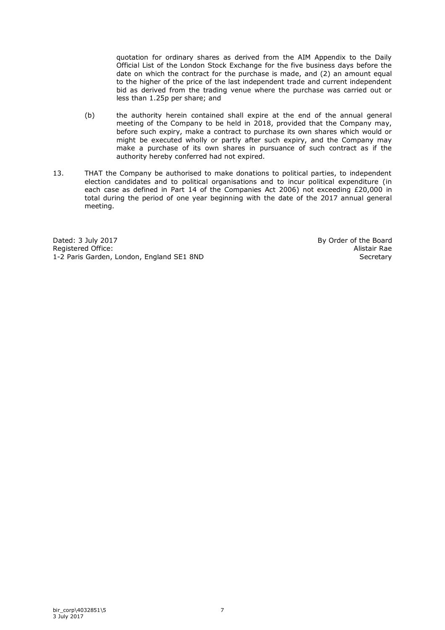quotation for ordinary shares as derived from the AIM Appendix to the Daily Official List of the London Stock Exchange for the five business days before the date on which the contract for the purchase is made, and (2) an amount equal to the higher of the price of the last independent trade and current independent bid as derived from the trading venue where the purchase was carried out or less than 1.25p per share; and

- (b) the authority herein contained shall expire at the end of the annual general meeting of the Company to be held in 2018, provided that the Company may, before such expiry, make a contract to purchase its own shares which would or might be executed wholly or partly after such expiry, and the Company may make a purchase of its own shares in pursuance of such contract as if the authority hereby conferred had not expired.
- <span id="page-6-0"></span>13. THAT the Company be authorised to make donations to political parties, to independent election candidates and to political organisations and to incur political expenditure (in each case as defined in Part 14 of the Companies Act 2006) not exceeding £20,000 in total during the period of one year beginning with the date of the 2017 annual general meeting.

Dated: 3 July 2017 Registered Office: 1-2 Paris Garden, London, England SE1 8ND By Order of the Board Alistair Rae Secretary